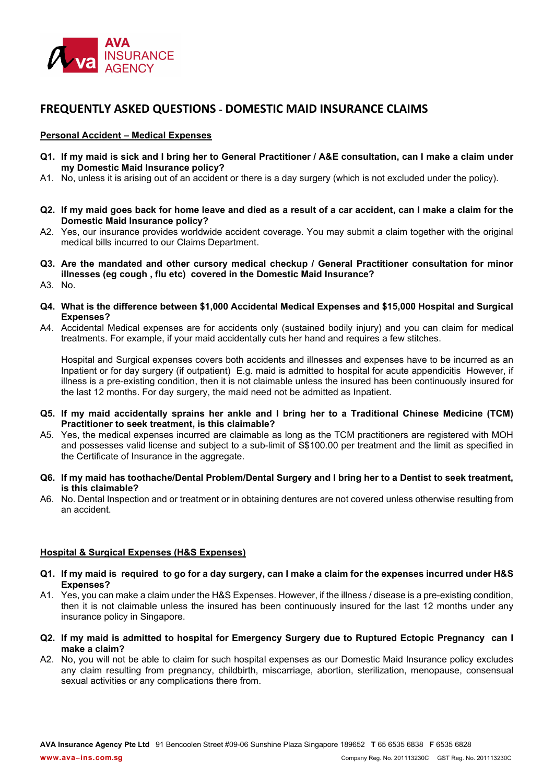

# FREQUENTLY ASKED QUESTIONS - DOMESTIC MAID INSURANCE CLAIMS

### Personal Accident – Medical Expenses

- Q1. If my maid is sick and I bring her to General Practitioner / A&E consultation, can I make a claim under my Domestic Maid Insurance policy?
- A1. No, unless it is arising out of an accident or there is a day surgery (which is not excluded under the policy).
- Q2. If my maid goes back for home leave and died as a result of a car accident, can I make a claim for the Domestic Maid Insurance policy?
- A2. Yes, our insurance provides worldwide accident coverage. You may submit a claim together with the original medical bills incurred to our Claims Department.
- Q3. Are the mandated and other cursory medical checkup / General Practitioner consultation for minor illnesses (eg cough , flu etc) covered in the Domestic Maid Insurance?
- A3. No.
- Q4. What is the difference between \$1,000 Accidental Medical Expenses and \$15,000 Hospital and Surgical Expenses?
- A4. Accidental Medical expenses are for accidents only (sustained bodily injury) and you can claim for medical treatments. For example, if your maid accidentally cuts her hand and requires a few stitches.

Hospital and Surgical expenses covers both accidents and illnesses and expenses have to be incurred as an Inpatient or for day surgery (if outpatient) E.g. maid is admitted to hospital for acute appendicitis However, if illness is a pre-existing condition, then it is not claimable unless the insured has been continuously insured for the last 12 months. For day surgery, the maid need not be admitted as Inpatient.

- Q5. If my maid accidentally sprains her ankle and I bring her to a Traditional Chinese Medicine (TCM) Practitioner to seek treatment, is this claimable?
- A5. Yes, the medical expenses incurred are claimable as long as the TCM practitioners are registered with MOH and possesses valid license and subject to a sub-limit of S\$100.00 per treatment and the limit as specified in the Certificate of Insurance in the aggregate.
- Q6. If my maid has toothache/Dental Problem/Dental Surgery and I bring her to a Dentist to seek treatment, is this claimable?
- A6. No. Dental Inspection and or treatment or in obtaining dentures are not covered unless otherwise resulting from an accident.

## Hospital & Surgical Expenses (H&S Expenses)

- Q1. If my maid is required to go for a day surgery, can I make a claim for the expenses incurred under H&S Expenses?
- A1. Yes, you can make a claim under the H&S Expenses. However, if the illness / disease is a pre-existing condition, then it is not claimable unless the insured has been continuously insured for the last 12 months under any insurance policy in Singapore.
- Q2. If my maid is admitted to hospital for Emergency Surgery due to Ruptured Ectopic Pregnancy can I make a claim?
- A2. No, you will not be able to claim for such hospital expenses as our Domestic Maid Insurance policy excludes any claim resulting from pregnancy, childbirth, miscarriage, abortion, sterilization, menopause, consensual sexual activities or any complications there from.